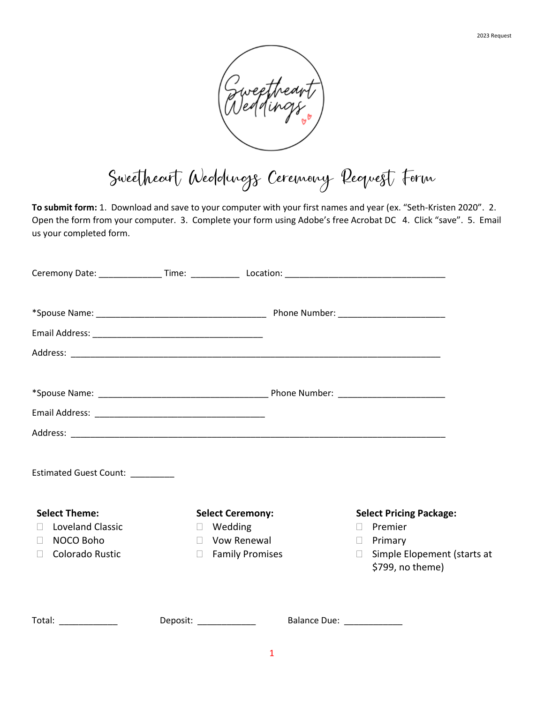

Sweetheart Weddings Ceremony Request Form

**To submit form:** 1. Download and save to your computer with your first names and year (ex. "Seth-Kristen 2020". 2. Open the form from your computer. 3. Complete your form using Adobe's free Acrobat DC 4. Click "save". 5. Email us your completed form.

| Ceremony Date: __________________Time: ________________Location: ___________________________________ |                         |                         |                                                           |
|------------------------------------------------------------------------------------------------------|-------------------------|-------------------------|-----------------------------------------------------------|
|                                                                                                      |                         |                         |                                                           |
|                                                                                                      |                         |                         |                                                           |
|                                                                                                      |                         |                         |                                                           |
|                                                                                                      |                         |                         |                                                           |
|                                                                                                      |                         |                         |                                                           |
| Estimated Guest Count: ________                                                                      |                         |                         |                                                           |
| <b>Select Theme:</b>                                                                                 | <b>Select Ceremony:</b> |                         | <b>Select Pricing Package:</b>                            |
| <b>Loveland Classic</b><br>$\Box$                                                                    | $\Box$ Wedding          |                         | Premier<br>$\Box$                                         |
| NOCO Boho<br>$\Box$                                                                                  | $\Box$ Vow Renewal      |                         | $\Box$ Primary                                            |
| <b>Colorado Rustic</b><br>$\Box$                                                                     | □ Family Promises       |                         | Simple Elopement (starts at<br>$\Box$<br>\$799, no theme) |
| Total: _____________                                                                                 | Deposit: _____________  | Balance Due: __________ |                                                           |
|                                                                                                      |                         |                         |                                                           |